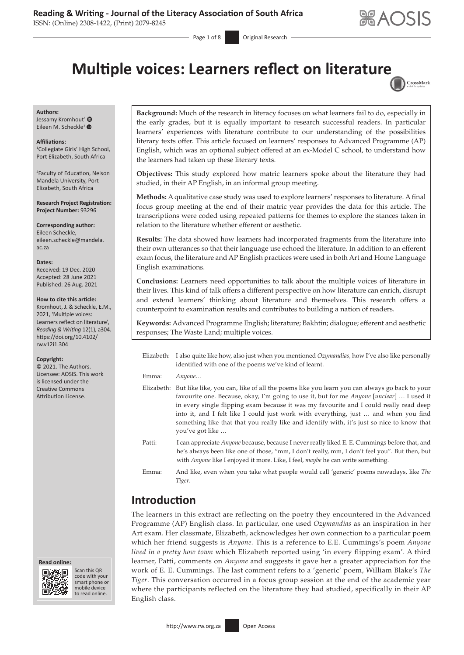**ARAOSIS** 

# **Multiple voices: Learners reflect on literatur[e](http://crossmark.crossref.org/dialog/?doi=10.4102/rw.v12i1.304=pdf&date_stamp=2021-08-26)**

Page 1 of 8 **Original Research** 



**Authors:** Jessamy Kromhout<sup>[1](http://orcid.org/0000-0002-4481-8483)</sup> Eileen M. Scheckle<sup>[2](https://orcid.org/0000-0002-9140-4347)</sup> ®

**Affiliations:**

1 Collegiate Girls' High School, Port Elizabeth, South Africa

2 Faculty of Education, Nelson Mandela University, Port Elizabeth, South Africa

**Research Project Registration: Project Number:** 93296

**Corresponding author:** Eileen Scheckle, [eileen.scheckle@mandela.](mailto:eileen.scheckle@mandela.ac.za) [ac.za](mailto:eileen.scheckle@mandela.ac.za)

**Dates:**

Received: 19 Dec. 2020 Accepted: 28 June 2021 Published: 26 Aug. 2021

#### **How to cite this article:**

Kromhout, J. & Scheckle, E.M., 2021, 'Multiple voices: Learners reflect on literature', *Reading & Writing* 12(1), a304. [https://doi.org/10.4102/](https://doi.org/10.4102/rw.v12i1.304) [rw.v12i1.304](https://doi.org/10.4102/rw.v12i1.304)

**Copyright:**

© 2021. The Authors. Licensee: AOSIS. This work is licensed under the Creative Commons Attribution License.

**Read online: Read online:**



Scan this QR code with your Scan this QR<br>code with your<br>smart phone or<br>mobile device mobile device to read online. to read online.

**Background:** Much of the research in literacy focuses on what learners fail to do, especially in the early grades, but it is equally important to research successful readers. In particular learners' experiences with literature contribute to our understanding of the possibilities literary texts offer. This article focused on learners' responses to Advanced Programme (AP) English, which was an optional subject offered at an ex-Model C school, to understand how the learners had taken up these literary texts.

**Objectives:** This study explored how matric learners spoke about the literature they had studied, in their AP English, in an informal group meeting.

**Methods:** A qualitative case study was used to explore learners' responses to literature. A final focus group meeting at the end of their matric year provides the data for this article. The transcriptions were coded using repeated patterns for themes to explore the stances taken in relation to the literature whether efferent or aesthetic.

**Results:** The data showed how learners had incorporated fragments from the literature into their own utterances so that their language use echoed the literature. In addition to an efferent exam focus, the literature and AP English practices were used in both Art and Home Language English examinations.

**Conclusions:** Learners need opportunities to talk about the multiple voices of literature in their lives. This kind of talk offers a different perspective on how literature can enrich, disrupt and extend learners' thinking about literature and themselves. This research offers a counterpoint to examination results and contributes to building a nation of readers.

**Keywords:** Advanced Programme English; literature; Bakhtin; dialogue; efferent and aesthetic responses; The Waste Land; multiple voices.

Elizabeth: I also quite like how, also just when you mentioned *Ozymandias,* how I've also like personally identified with one of the poems we've kind of learnt.

Emma: *Anyone*…

- Elizabeth: But like like, you can, like of all the poems like you learn you can always go back to your favourite one. Because, okay, I'm going to use it, but for me *Anyone* [*unclear*] … I used it in every single flipping exam because it was my favourite and I could really read deep into it, and I felt like I could just work with everything, just … and when you find something like that that you really like and identify with, it's just so nice to know that you've got like …
- Patti: I can appreciate *Anyone* because, because I never really liked E. E. Cummings before that, and he's always been like one of those, "mm, I don't really, mm, I don't feel you". But then, but with *Anyone* like I enjoyed it more. Like, I feel, *maybe* he can write something.
- Emma: And like, even when you take what people would call 'generic' poems nowadays, like *The Tiger*.

# **Introduction**

The learners in this extract are reflecting on the poetry they encountered in the Advanced Programme (AP) English class. In particular, one used *Ozymandias* as an inspiration in her Art exam. Her classmate, Elizabeth, acknowledges her own connection to a particular poem which her friend suggests is *Anyone.* This is a reference to E.E. Cummings's poem *Anyone lived in a pretty how town* which Elizabeth reported using 'in every flipping exam'. A third learner, Patti, comments on *Anyone* and suggests it gave her a greater appreciation for the work of E. E. Cummings. The last comment refers to a 'generic' poem, William Blake's *The Tiger*. This conversation occurred in a focus group session at the end of the academic year where the participants reflected on the literature they had studied, specifically in their AP English class.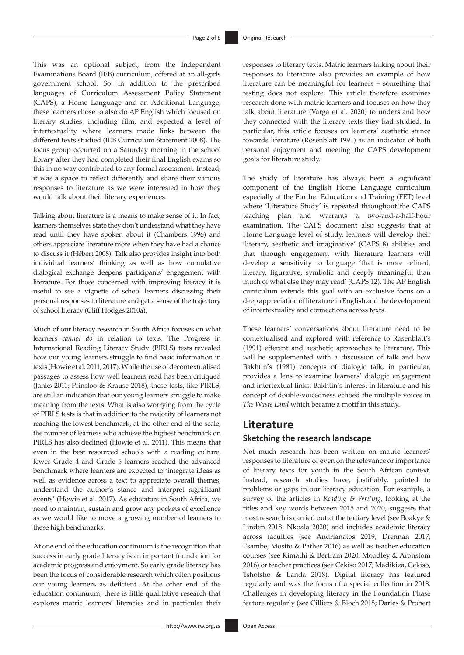This was an optional subject, from the Independent Examinations Board (IEB) curriculum, offered at an all-girls government school. So, in addition to the prescribed languages of Curriculum Assessment Policy Statement (CAPS), a Home Language and an Additional Language, these learners chose to also do AP English which focused on literary studies, including film, and expected a level of intertextuality where learners made links between the different texts studied (IEB Curriculum Statement 2008). The focus group occurred on a Saturday morning in the school library after they had completed their final English exams so this in no way contributed to any formal assessment. Instead, it was a space to reflect differently and share their various responses to literature as we were interested in how they would talk about their literary experiences.

Talking about literature is a means to make sense of it. In fact, learners themselves state they don't understand what they have read until they have spoken about it (Chambers 1996) and others appreciate literature more when they have had a chance to discuss it (Hébert 2008). Talk also provides insight into both individual learners' thinking as well as how cumulative dialogical exchange deepens participants' engagement with literature. For those concerned with improving literacy it is useful to see a vignette of school learners discussing their personal responses to literature and get a sense of the trajectory of school literacy (Cliff Hodges 2010a).

Much of our literacy research in South Africa focuses on what learners *cannot do* in relation to texts. The Progress in International Reading Literacy Study (PIRLS) tests revealed how our young learners struggle to find basic information in texts (Howie et al. 2011, 2017). While the use of decontextualised passages to assess how well learners read has been critiqued (Janks 2011; Prinsloo & Krause 2018), these tests, like PIRLS, are still an indication that our young learners struggle to make meaning from the texts. What is also worrying from the cycle of PIRLS tests is that in addition to the majority of learners not reaching the lowest benchmark, at the other end of the scale, the number of learners who achieve the highest benchmark on PIRLS has also declined (Howie et al. 2011). This means that even in the best resourced schools with a reading culture, fewer Grade 4 and Grade 5 learners reached the advanced benchmark where learners are expected to 'integrate ideas as well as evidence across a text to appreciate overall themes, understand the author's stance and interpret significant events' (Howie et al. 2017). As educators in South Africa, we need to maintain, sustain and grow any pockets of excellence as we would like to move a growing number of learners to these high benchmarks.

At one end of the education continuum is the recognition that success in early grade literacy is an important foundation for academic progress and enjoyment. So early grade literacy has been the focus of considerable research which often positions our young learners as deficient. At the other end of the education continuum, there is little qualitative research that explores matric learners' literacies and in particular their responses to literary texts. Matric learners talking about their responses to literature also provides an example of how literature can be meaningful for learners – something that testing does not explore. This article therefore examines research done with matric learners and focuses on how they talk about literature (Varga et al. 2020) to understand how they connected with the literary texts they had studied. In particular, this article focuses on learners' aesthetic stance towards literature (Rosenblatt 1991) as an indicator of both personal enjoyment and meeting the CAPS development goals for literature study.

The study of literature has always been a significant component of the English Home Language curriculum especially at the Further Education and Training (FET) level where 'Literature Study' is repeated throughout the CAPS teaching plan and warrants a two-and-a-half-hour examination. The CAPS document also suggests that at Home Language level of study, learners will develop their 'literary, aesthetic and imaginative' (CAPS 8) abilities and that through engagement with literature learners will develop a sensitivity to language 'that is more refined, literary, figurative, symbolic and deeply meaningful than much of what else they may read' (CAPS 12). The AP English curriculum extends this goal with an exclusive focus on a deep appreciation of literature in English and the development of intertextuality and connections across texts.

These learners' conversations about literature need to be contextualised and explored with reference to Rosenblatt's (1991) efferent and aesthetic approaches to literature. This will be supplemented with a discussion of talk and how Bakhtin's (1981) concepts of dialogic talk, in particular, provides a lens to examine learners' dialogic engagement and intertextual links. Bakhtin's interest in literature and his concept of double-voicedness echoed the multiple voices in *The Waste Land* which became a motif in this study.

### **Literature**

### **Sketching the research landscape**

Not much research has been written on matric learners' responses to literature or even on the relevance or importance of literary texts for youth in the South African context. Instead, research studies have, justifiably, pointed to problems or gaps in our literacy education. For example, a survey of the articles in *Reading & Writing*, looking at the titles and key words between 2015 and 2020, suggests that most research is carried out at the tertiary level (see Boakye & Linden 2018; Nkoala 2020) and includes academic literacy across faculties (see Andrianatos 2019; Drennan 2017; Esambe, Mosito & Pather 2016) as well as teacher education courses (see Kimathi & Bertram 2020; Moodley & Aronstom 2016) or teacher practices (see Cekiso 2017; Madikiza, Cekiso, Tshotsho & Landa 2018). Digital literacy has featured regularly and was the focus of a special collection in 2018. Challenges in developing literacy in the Foundation Phase feature regularly (see Cilliers & Bloch 2018; Daries & Probert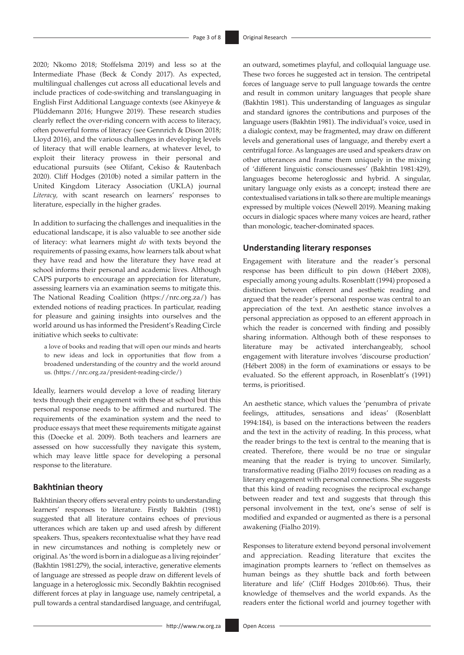2020; Nkomo 2018; Stoffelsma 2019) and less so at the Intermediate Phase (Beck & Condy 2017). As expected, multilingual challenges cut across all educational levels and include practices of code-switching and translanguaging in English First Additional Language contexts (see Akinyeye & Plüddemann 2016; Hungwe 2019). These research studies clearly reflect the over-riding concern with access to literacy, often powerful forms of literacy (see Gennrich & Dison 2018; Lloyd 2016), and the various challenges in developing levels of literacy that will enable learners, at whatever level, to exploit their literacy prowess in their personal and educational pursuits (see Olifant, Cekiso & Rautenbach 2020). Cliff Hodges (2010b) noted a similar pattern in the United Kingdom Literacy Association (UKLA) journal *Literacy,* with scant research on learners' responses to literature, especially in the higher grades.

In addition to surfacing the challenges and inequalities in the educational landscape, it is also valuable to see another side of literacy: what learners might *do* with texts beyond the requirements of passing exams, how learners talk about what they have read and how the literature they have read at school informs their personal and academic lives. Although CAPS purports to encourage an appreciation for literature, assessing learners via an examination seems to mitigate this. The National Reading Coalition (<https://nrc.org.za/>) has extended notions of reading practices. In particular, reading for pleasure and gaining insights into ourselves and the world around us has informed the President's Reading Circle initiative which seeks to cultivate:

a love of books and reading that will open our minds and hearts to new ideas and lock in opportunities that flow from a broadened understanding of the country and the world around us. ([https://nrc.org.za/president-reading-circle/\)](https://nrc.org.za/president-reading-circle/)

Ideally, learners would develop a love of reading literary texts through their engagement with these at school but this personal response needs to be affirmed and nurtured. The requirements of the examination system and the need to produce essays that meet these requirements mitigate against this (Doecke et al. 2009). Both teachers and learners are assessed on how successfully they navigate this system, which may leave little space for developing a personal response to the literature.

#### **Bakhtinian theory**

Bakhtinian theory offers several entry points to understanding learners' responses to literature. Firstly Bakhtin (1981) suggested that all literature contains echoes of previous utterances which are taken up and used afresh by different speakers. Thus, speakers recontextualise what they have read in new circumstances and nothing is completely new or original. As 'the word is born in a dialogue as a living rejoinder' (Bakhtin 1981:279), the social, interactive, generative elements of language are stressed as people draw on different levels of language in a heteroglossic mix. Secondly Bakhtin recognised different forces at play in language use, namely centripetal, a pull towards a central standardised language, and centrifugal,

an outward, sometimes playful, and colloquial language use. These two forces he suggested act in tension. The centripetal forces of language serve to pull language towards the centre and result in common unitary languages that people share (Bakhtin 1981). This understanding of languages as singular and standard ignores the contributions and purposes of the language users (Bakhtin 1981). The individual's voice, used in a dialogic context, may be fragmented, may draw on different levels and generational uses of language, and thereby exert a centrifugal force. As languages are used and speakers draw on other utterances and frame them uniquely in the mixing of 'different linguistic consciousnesses' (Bakhtin 1981:429), languages become heteroglossic and hybrid. A singular, unitary language only exists as a concept; instead there are contextualised variations in talk so there are multiple meanings expressed by multiple voices (Newell 2019). Meaning making occurs in dialogic spaces where many voices are heard, rather than monologic, teacher-dominated spaces.

#### **Understanding literary responses**

Engagement with literature and the reader's personal response has been difficult to pin down (Hébert 2008), especially among young adults. Rosenblatt (1994) proposed a distinction between efferent and aesthetic reading and argued that the reader's personal response was central to an appreciation of the text. An aesthetic stance involves a personal appreciation as opposed to an efferent approach in which the reader is concerned with finding and possibly sharing information. Although both of these responses to literature may be activated interchangeably, school engagement with literature involves 'discourse production' (Hébert 2008) in the form of examinations or essays to be evaluated. So the efferent approach, in Rosenblatt's (1991) terms, is prioritised.

An aesthetic stance, which values the 'penumbra of private feelings, attitudes, sensations and ideas' (Rosenblatt 1994:184), is based on the interactions between the readers and the text in the activity of reading. In this process, what the reader brings to the text is central to the meaning that is created. Therefore, there would be no true or singular meaning that the reader is trying to uncover. Similarly, transformative reading (Fialho 2019) focuses on reading as a literary engagement with personal connections. She suggests that this kind of reading recognises the reciprocal exchange between reader and text and suggests that through this personal involvement in the text, one's sense of self is modified and expanded or augmented as there is a personal awakening (Fialho 2019).

Responses to literature extend beyond personal involvement and appreciation. Reading literature that excites the imagination prompts learners to 'reflect on themselves as human beings as they shuttle back and forth between literature and life' (Cliff Hodges 2010b:66). Thus, their knowledge of themselves and the world expands. As the readers enter the fictional world and journey together with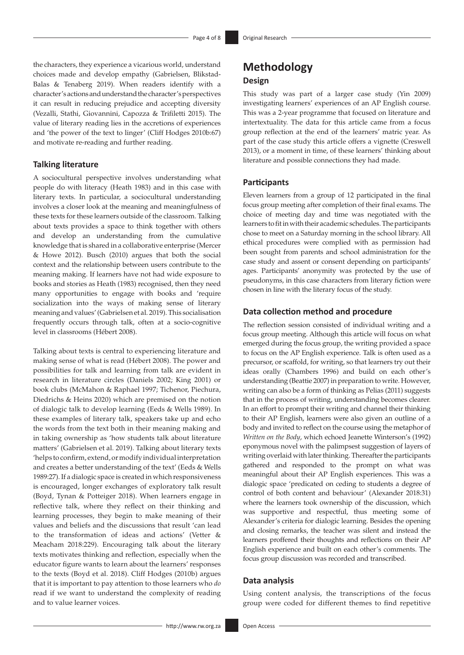the characters, they experience a vicarious world, understand choices made and develop empathy (Gabrielsen, Blikstad-Balas & Tenaberg 2019). When readers identify with a character's actions and understand the character's perspectives it can result in reducing prejudice and accepting diversity (Vezalli, Stathi, Giovannini, Capozza & Trifiletti 2015). The value of literary reading lies in the accretions of experiences and 'the power of the text to linger' (Cliff Hodges 2010b:67) and motivate re-reading and further reading.

#### **Talking literature**

A sociocultural perspective involves understanding what people do with literacy (Heath 1983) and in this case with literary texts. In particular, a sociocultural understanding involves a closer look at the meaning and meaningfulness of these texts for these learners outside of the classroom. Talking about texts provides a space to think together with others and develop an understanding from the cumulative knowledge that is shared in a collaborative enterprise (Mercer & Howe 2012). Busch (2010) argues that both the social context and the relationship between users contribute to the meaning making. If learners have not had wide exposure to books and stories as Heath (1983) recognised, then they need many opportunities to engage with books and 'require socialization into the ways of making sense of literary meaning and values' (Gabrielsen et al. 2019). This socialisation frequently occurs through talk, often at a socio-cognitive level in classrooms (Hébert 2008).

Talking about texts is central to experiencing literature and making sense of what is read (Hébert 2008). The power and possibilities for talk and learning from talk are evident in research in literature circles (Daniels 2002; King 2001) or book clubs (McMahon & Raphael 1997; Tichenor, Piechura, Diedrichs & Heins 2020) which are premised on the notion of dialogic talk to develop learning (Eeds & Wells 1989). In these examples of literary talk, speakers take up and echo the words from the text both in their meaning making and in taking ownership as 'how students talk about literature matters' (Gabrielsen et al. 2019). Talking about literary texts 'helps to confirm, extend, or modify individual interpretation and creates a better understanding of the text' (Eeds & Wells 1989:27). If a dialogic space is created in which responsiveness is encouraged, longer exchanges of exploratory talk result (Boyd, Tynan & Potteiger 2018). When learners engage in reflective talk, where they reflect on their thinking and learning processes, they begin to make meaning of their values and beliefs and the discussions that result 'can lead to the transformation of ideas and actions' (Vetter & Meacham 2018:229). Encouraging talk about the literary texts motivates thinking and reflection, especially when the educator figure wants to learn about the learners' responses to the texts (Boyd et al. 2018). Cliff Hodges (2010b) argues that it is important to pay attention to those learners who *do*  read if we want to understand the complexity of reading and to value learner voices.

# **Methodology Design**

This study was part of a larger case study (Yin 2009) investigating learners' experiences of an AP English course. This was a 2-year programme that focused on literature and intertextuality. The data for this article came from a focus group reflection at the end of the learners' matric year. As part of the case study this article offers a vignette (Creswell 2013), or a moment in time, of these learners' thinking about literature and possible connections they had made.

#### **Participants**

Eleven learners from a group of 12 participated in the final focus group meeting after completion of their final exams. The choice of meeting day and time was negotiated with the learners to fit in with their academic schedules. The participants chose to meet on a Saturday morning in the school library. All ethical procedures were complied with as permission had been sought from parents and school administration for the case study and assent or consent depending on participants' ages. Participants' anonymity was protected by the use of pseudonyms, in this case characters from literary fiction were chosen in line with the literary focus of the study.

#### **Data collection method and procedure**

The reflection session consisted of individual writing and a focus group meeting. Although this article will focus on what emerged during the focus group, the writing provided a space to focus on the AP English experience. Talk is often used as a precursor, or scaffold, for writing, so that learners try out their ideas orally (Chambers 1996) and build on each other's understanding (Beattie 2007) in preparation to write. However, writing can also be a form of thinking as Pelias (2011) suggests that in the process of writing, understanding becomes clearer. In an effort to prompt their writing and channel their thinking to their AP English, learners were also given an outline of a body and invited to reflect on the course using the metaphor of *Written on the Body*, which echoed Jeanette Winterson's (1992) eponymous novel with the palimpsest suggestion of layers of writing overlaid with later thinking. Thereafter the participants gathered and responded to the prompt on what was meaningful about their AP English experiences. This was a dialogic space 'predicated on ceding to students a degree of control of both content and behaviour' (Alexander 2018:31) where the learners took ownership of the discussion, which was supportive and respectful, thus meeting some of Alexander's criteria for dialogic learning. Besides the opening and closing remarks, the teacher was silent and instead the learners proffered their thoughts and reflections on their AP English experience and built on each other's comments. The focus group discussion was recorded and transcribed.

#### **Data analysis**

Using content analysis, the transcriptions of the focus group were coded for different themes to find repetitive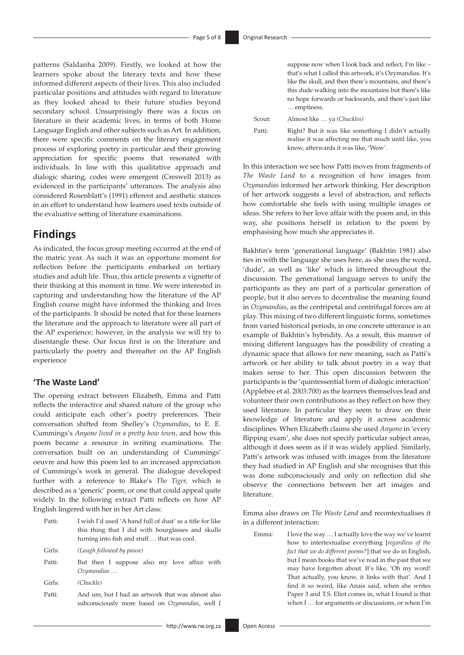patterns (Saldanha 2009). Firstly, we looked at how the learners spoke about the literary texts and how these informed different aspects of their lives. This also included particular positions and attitudes with regard to literature as they looked ahead to their future studies beyond secondary school. Unsurprisingly there was a focus on literature in their academic lives, in terms of both Home Language English and other subjects such as Art. In addition, there were specific comments on the literary engagement process of exploring poetry in particular and their growing appreciation for specific poems that resonated with individuals. In line with this qualitative approach and dialogic sharing, codes were emergent (Creswell 2013) as evidenced in the participants' utterances. The analysis also considered Rosenblatt's (1991) efferent and aesthetic stances in an effort to understand how learners used texts outside of the evaluative setting of literature examinations.

# **Findings**

As indicated, the focus group meeting occurred at the end of the matric year. As such it was an opportune moment for reflection before the participants embarked on tertiary studies and adult life. Thus, this article presents a vignette of their thinking at this moment in time. We were interested in capturing and understanding how the literature of the AP English course might have informed the thinking and lives of the participants. It should be noted that for these learners the literature and the approach to literature were all part of the AP experience; however, in the analysis we will try to disentangle these. Our focus first is on the literature and particularly the poetry and thereafter on the AP English experience

### **'The Waste Land'**

The opening extract between Elizabeth, Emma and Patti reflects the interactive and shared nature of the group who could anticipate each other's poetry preferences. Their conversation shifted from Shelley's *Ozymandias*, to E. E. Cummings's *Anyone lived in a pretty how town*, and how this poem became a resource in writing examinations. The conversation built on an understanding of Cummings' oeuvre and how this poem led to an increased appreciation of Cummings's work in general. The dialogue developed further with a reference to Blake's *The Tiger,* which is described as a 'generic' poem, or one that could appeal quite widely. In the following extract Patti reflects on how AP English lingered with her in her Art class:

| Patti: | I wish I'd used 'A hand full of dust' as a title for like<br>this thing that I did with hourglasses and skulls<br>turning into fish and stuff  that was cool. |
|--------|---------------------------------------------------------------------------------------------------------------------------------------------------------------|
| Girls: | (Laugh followed by pause)                                                                                                                                     |
| Patti: | But then I suppose also my love affair with<br>Ozymandias                                                                                                     |
| Girls: | (Chuckle)                                                                                                                                                     |
| Patti: | And um, but I had an artwork that was almost also                                                                                                             |

subconsciously more based on *Ozymandias*, well I

Scout: Almost like … ya *(Chuckles)* Patti: Right? But it was like something I didn't actually realise it was affecting me that much until like, you

In this interaction we see how Patti moves from fragments of *The Waste Land* to a recognition of how images from *Ozymandias* informed her artwork thinking. Her description of her artwork suggests a level of abstraction, and reflects how comfortable she feels with using multiple images or ideas. She refers to her love affair with the poem and, in this way, she positions herself in relation to the poem by emphasising how much she appreciates it.

know, afterwards it was like, 'Wow'.

Bakhtin's term 'generational language' (Bakhtin 1981) also ties in with the language she uses here, as she uses the word, 'dude', as well as 'like' which is littered throughout the discussion. The generational language serves to unify the participants as they are part of a particular generation of people, but it also serves to decentralise the meaning found in *Ozymandias*, as the centripetal and centrifugal forces are at play. This mixing of two different linguistic forms, sometimes from varied historical periods, in one concrete utterance is an example of Bakhtin's hybridity. As a result, this manner of mixing different languages has the possibility of creating a dynamic space that allows for new meaning, such as Patti's artwork or her ability to talk about poetry in a way that makes sense to her. This open discussion between the participants is the 'quintessential form of dialogic interaction' (Applebee et al. 2003:700) as the learners themselves lead and volunteer their own contributions as they reflect on how they used literature. In particular they seem to draw on their knowledge of literature and apply it across academic disciplines. When Elizabeth claims she used *Anyone* in 'every flipping exam', she does not specify particular subject areas, although it does seem as if it was widely applied. Similarly, Patti's artwork was infused with images from the literature they had studied in AP English and she recognises that this was done subconsciously and only on reflection did she observe the connections between her art images and literature.

Emma also draws on *The Waste Land* and recontextualises it in a different interaction:

Emma: I love the way … I actually love the way we've learnt how to intertextualise everything [*regardless of the fact that we do different poems?*] that we do in English, but I mean books that we've read in the past that we may have forgotten about. It's like, 'Oh my word! That actually, you know, it links with that'. And I find it so weird, like Anais said, when she writes Paper 3 and T.S. Eliot comes in, what I found is that when I … for arguments or discussions, or when I'm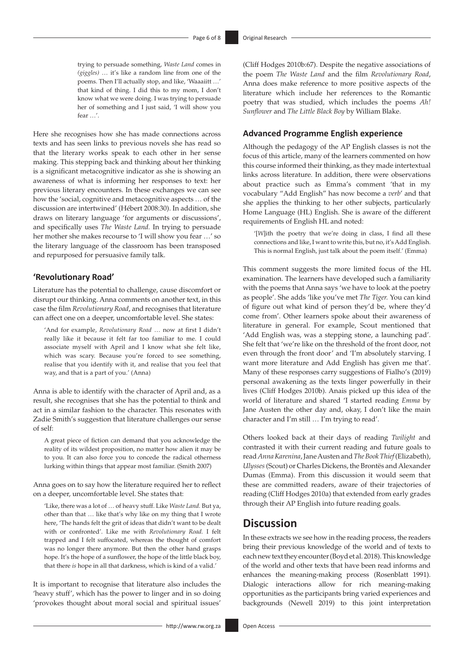trying to persuade something, *Waste Land* comes in *(giggles)* … it's like a random line from one of the poems. Then I'll actually stop, and like, 'Waaaiitt …' that kind of thing. I did this to my mom, I don't know what we were doing. I was trying to persuade her of something and I just said, 'I will show you fear …'.

Here she recognises how she has made connections across texts and has seen links to previous novels she has read so that the literary works speak to each other in her sense making. This stepping back and thinking about her thinking is a significant metacognitive indicator as she is showing an awareness of what is informing her responses to text: her previous literary encounters. In these exchanges we can see how the 'social, cognitive and metacognitive aspects … of the discussion are intertwined' (Hébert 2008:30). In addition, she draws on literary language 'for arguments or discussions', and specifically uses *The Waste Land.* In trying to persuade her mother she makes recourse to 'I will show you fear …' so the literary language of the classroom has been transposed and repurposed for persuasive family talk.

#### **'Revolutionary Road'**

Literature has the potential to challenge, cause discomfort or disrupt our thinking. Anna comments on another text, in this case the film *Revolutionary Road*, and recognises that literature can affect one on a deeper, uncomfortable level. She states:

'And for example, *Revolutionary Road* … now at first I didn't really like it because it felt far too familiar to me. I could associate myself with April and I know what she felt like, which was scary. Because you're forced to see something, realise that you identify with it, and realise that you feel that way, and that is a part of you.' (Anna)

Anna is able to identify with the character of April and, as a result, she recognises that she has the potential to think and act in a similar fashion to the character. This resonates with Zadie Smith's suggestion that literature challenges our sense of self:

A great piece of fiction can demand that you acknowledge the reality of its wildest proposition, no matter how alien it may be to you. It can also force you to concede the radical otherness lurking within things that appear most familiar. (Smith 2007)

Anna goes on to say how the literature required her to reflect on a deeper, uncomfortable level. She states that:

'Like, there was a lot of … of heavy stuff. Like *Waste Land.* But ya, other than that … like that's why like on my thing that I wrote here, 'The hands felt the grit of ideas that didn't want to be dealt with or confronted'. Like me with *Revolutionary Road.* I felt trapped and I felt suffocated, whereas the thought of comfort was no longer there anymore. But then the other hand grasps hope. It's the hope of a sunflower, the hope of the little black boy, that there *is* hope in all that darkness, which is kind of a valid.'

It is important to recognise that literature also includes the 'heavy stuff', which has the power to linger and in so doing 'provokes thought about moral social and spiritual issues'

(Cliff Hodges 2010b:67). Despite the negative associations of the poem *The Waste Land* and the film *Revolutionary Road*, Anna does make reference to more positive aspects of the literature which include her references to the Romantic poetry that was studied, which includes the poems *Ah! Sunflower* and *The Little Black Boy* by William Blake.

### **Advanced Programme English experience**

Although the pedagogy of the AP English classes is not the focus of this article, many of the learners commented on how this course informed their thinking, as they made intertextual links across literature. In addition, there were observations about practice such as Emma's comment 'that in my vocabulary "Add English" has now become a *verb*' and that she applies the thinking to her other subjects, particularly Home Language (HL) English. She is aware of the different requirements of English HL and noted:

'[*W*]ith the poetry that we're doing in class, I find all these connections and like, I want to write this, but no, it's Add English. This is normal English, just talk about the poem itself.' (Emma)

This comment suggests the more limited focus of the HL examination. The learners have developed such a familiarity with the poems that Anna says 'we have to look at the poetry as people'. She adds 'like you've met *The Tiger.* You can kind of figure out what kind of person they'd be, where they'd come from'. Other learners spoke about their awareness of literature in general. For example, Scout mentioned that 'Add English was, was a stepping stone, a launching pad'. She felt that 'we're like on the threshold of the front door, not even through the front door' and 'I'm absolutely starving. I want more literature and Add English has given me that'. Many of these responses carry suggestions of Fialho's (2019) personal awakening as the texts linger powerfully in their lives (Cliff Hodges 2010b). Anais picked up this idea of the world of literature and shared 'I started reading *Emma* by Jane Austen the other day and, okay, I don't like the main character and I'm still … I'm trying to read'.

Others looked back at their days of reading *Twilight* and contrasted it with their current reading and future goals to read *Anna Karenina*, Jane Austen and *The Book Thief* (Elizabeth), *Ulysses* (Scout) or Charles Dickens, the Brontës and Alexander Dumas (Emma). From this discussion it would seem that these are committed readers, aware of their trajectories of reading (Cliff Hodges 2010a) that extended from early grades through their AP English into future reading goals.

### **Discussion**

In these extracts we see how in the reading process, the readers bring their previous knowledge of the world and of texts to each new text they encounter (Boyd et al. 2018). This knowledge of the world and other texts that have been read informs and enhances the meaning-making process (Rosenblatt 1991). Dialogic interactions allow for rich meaning-making opportunities as the participants bring varied experiences and backgrounds (Newell 2019) to this joint interpretation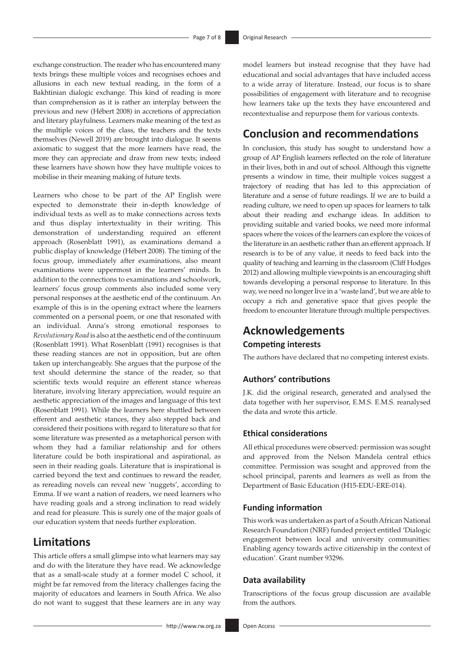exchange construction. The reader who has encountered many texts brings these multiple voices and recognises echoes and allusions in each new textual reading, in the form of a Bakhtinian dialogic exchange. This kind of reading is more than comprehension as it is rather an interplay between the previous and new (Hébert 2008) in accretions of appreciation and literary playfulness. Learners make meaning of the text as the multiple voices of the class, the teachers and the texts themselves (Newell 2019) are brought into dialogue. It seems axiomatic to suggest that the more learners have read, the more they can appreciate and draw from new texts; indeed these learners have shown how they have multiple voices to mobilise in their meaning making of future texts.

Learners who chose to be part of the AP English were expected to demonstrate their in-depth knowledge of individual texts as well as to make connections across texts and thus display intertextuality in their writing. This demonstration of understanding required an efferent approach (Rosenblatt 1991), as examinations demand a public display of knowledge (Hébert 2008). The timing of the focus group, immediately after examinations, also meant examinations were uppermost in the learners' minds. In addition to the connections to examinations and schoolwork, learners' focus group comments also included some very personal responses at the aesthetic end of the continuum. An example of this is in the opening extract where the learners commented on a personal poem, or one that resonated with an individual. Anna's strong emotional responses to *Revolutionary Road* is also at the aesthetic end of the continuum (Rosenblatt 1991). What Rosenblatt (1991) recognises is that these reading stances are not in opposition, but are often taken up interchangeably. She argues that the purpose of the text should determine the stance of the reader, so that scientific texts would require an efferent stance whereas literature, involving literary appreciation, would require an aesthetic appreciation of the images and language of this text (Rosenblatt 1991). While the learners here shuttled between efferent and aesthetic stances, they also stepped back and considered their positions with regard to literature so that for some literature was presented as a metaphorical person with whom they had a familiar relationship and for others literature could be both inspirational and aspirational, as seen in their reading goals. Literature that is inspirational is carried beyond the text and continues to reward the reader, as rereading novels can reveal new 'nuggets', according to Emma. If we want a nation of readers, we need learners who have reading goals and a strong inclination to read widely and read for pleasure. This is surely one of the major goals of our education system that needs further exploration.

# **Limitations**

This article offers a small glimpse into what learners may say and do with the literature they have read. We acknowledge that as a small-scale study at a former model C school, it might be far removed from the literacy challenges facing the majority of educators and learners in South Africa. We also do not want to suggest that these learners are in any way model learners but instead recognise that they have had educational and social advantages that have included access to a wide array of literature. Instead, our focus is to share possibilities of engagement with literature and to recognise how learners take up the texts they have encountered and recontextualise and repurpose them for various contexts.

# **Conclusion and recommendations**

In conclusion, this study has sought to understand how a group of AP English learners reflected on the role of literature in their lives, both in and out of school. Although this vignette presents a window in time, their multiple voices suggest a trajectory of reading that has led to this appreciation of literature and a sense of future readings. If we are to build a reading culture, we need to open up spaces for learners to talk about their reading and exchange ideas. In addition to providing suitable and varied books, we need more informal spaces where the voices of the learners can explore the voices of the literature in an aesthetic rather than an efferent approach. If research is to be of any value, it needs to feed back into the quality of teaching and learning in the classroom (Cliff Hodges 2012) and allowing multiple viewpoints is an encouraging shift towards developing a personal response to literature. In this way, we need no longer live in a 'waste land', but we are able to occupy a rich and generative space that gives people the freedom to encounter literature through multiple perspectives.

# **Acknowledgements Competing interests**

The authors have declared that no competing interest exists.

### **Authors' contributions**

J.K. did the original research, generated and analysed the data together with her supervisor, E.M.S. E.M.S. reanalysed the data and wrote this article.

### **Ethical considerations**

All ethical procedures were observed: permission was sought and approved from the Nelson Mandela central ethics committee. Permission was sought and approved from the school principal, parents and learners as well as from the Department of Basic Education (H15-EDU-ERE-014).

#### **Funding information**

This work was undertaken as part of a South African National Research Foundation (NRF) funded project entitled 'Dialogic engagement between local and university communities: Enabling agency towards active citizenship in the context of education'. Grant number 93296.

#### **Data availability**

Transcriptions of the focus group discussion are available from the authors.